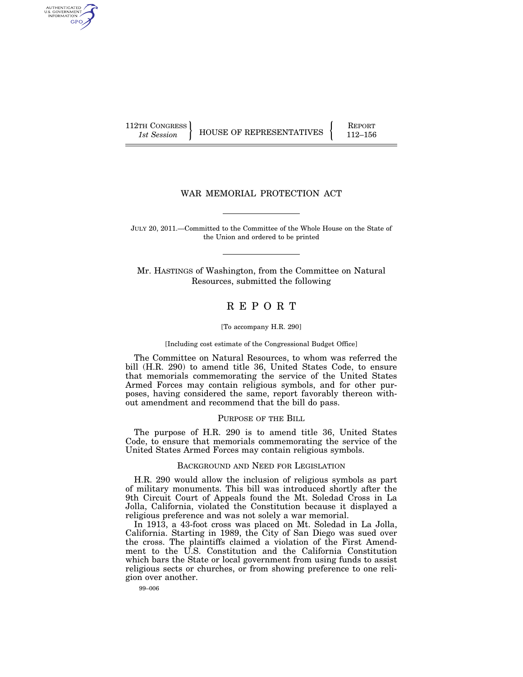AUTHENTICATED U.S. GOVERNMENT GPO

112TH CONGRESS HOUSE OF REPRESENTATIVES **REPORT** 112–156

# WAR MEMORIAL PROTECTION ACT

JULY 20, 2011.—Committed to the Committee of the Whole House on the State of the Union and ordered to be printed

Mr. HASTINGS of Washington, from the Committee on Natural Resources, submitted the following

# R E P O R T

#### [To accompany H.R. 290]

[Including cost estimate of the Congressional Budget Office]

The Committee on Natural Resources, to whom was referred the bill (H.R. 290) to amend title 36, United States Code, to ensure that memorials commemorating the service of the United States Armed Forces may contain religious symbols, and for other purposes, having considered the same, report favorably thereon without amendment and recommend that the bill do pass.

## PURPOSE OF THE BILL

The purpose of H.R. 290 is to amend title 36, United States Code, to ensure that memorials commemorating the service of the United States Armed Forces may contain religious symbols.

## BACKGROUND AND NEED FOR LEGISLATION

H.R. 290 would allow the inclusion of religious symbols as part of military monuments. This bill was introduced shortly after the 9th Circuit Court of Appeals found the Mt. Soledad Cross in La Jolla, California, violated the Constitution because it displayed a religious preference and was not solely a war memorial.

In 1913, a 43-foot cross was placed on Mt. Soledad in La Jolla, California. Starting in 1989, the City of San Diego was sued over the cross. The plaintiffs claimed a violation of the First Amendment to the U.S. Constitution and the California Constitution which bars the State or local government from using funds to assist religious sects or churches, or from showing preference to one religion over another.

99–006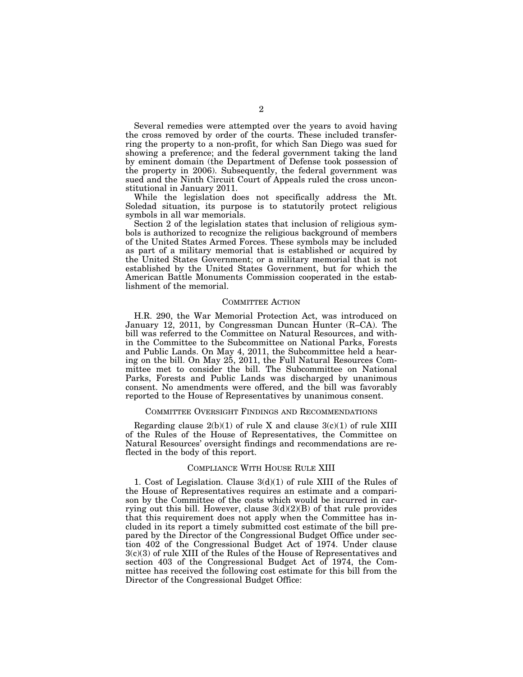Several remedies were attempted over the years to avoid having the cross removed by order of the courts. These included transferring the property to a non-profit, for which San Diego was sued for showing a preference; and the federal government taking the land by eminent domain (the Department of Defense took possession of the property in 2006). Subsequently, the federal government was sued and the Ninth Circuit Court of Appeals ruled the cross unconstitutional in January 2011.

While the legislation does not specifically address the Mt. Soledad situation, its purpose is to statutorily protect religious symbols in all war memorials.

Section 2 of the legislation states that inclusion of religious symbols is authorized to recognize the religious background of members of the United States Armed Forces. These symbols may be included as part of a military memorial that is established or acquired by the United States Government; or a military memorial that is not established by the United States Government, but for which the American Battle Monuments Commission cooperated in the establishment of the memorial.

#### COMMITTEE ACTION

H.R. 290, the War Memorial Protection Act, was introduced on January 12, 2011, by Congressman Duncan Hunter (R–CA). The bill was referred to the Committee on Natural Resources, and within the Committee to the Subcommittee on National Parks, Forests and Public Lands. On May 4, 2011, the Subcommittee held a hearing on the bill. On May 25, 2011, the Full Natural Resources Committee met to consider the bill. The Subcommittee on National Parks, Forests and Public Lands was discharged by unanimous consent. No amendments were offered, and the bill was favorably reported to the House of Representatives by unanimous consent.

### COMMITTEE OVERSIGHT FINDINGS AND RECOMMENDATIONS

Regarding clause  $2(b)(1)$  of rule X and clause  $3(c)(1)$  of rule XIII of the Rules of the House of Representatives, the Committee on Natural Resources' oversight findings and recommendations are reflected in the body of this report.

## COMPLIANCE WITH HOUSE RULE XIII

1. Cost of Legislation. Clause 3(d)(1) of rule XIII of the Rules of the House of Representatives requires an estimate and a comparison by the Committee of the costs which would be incurred in carrying out this bill. However, clause  $3(d)(2)(B)$  of that rule provides that this requirement does not apply when the Committee has included in its report a timely submitted cost estimate of the bill prepared by the Director of the Congressional Budget Office under section 402 of the Congressional Budget Act of 1974. Under clause 3(c)(3) of rule XIII of the Rules of the House of Representatives and section 403 of the Congressional Budget Act of 1974, the Committee has received the following cost estimate for this bill from the Director of the Congressional Budget Office: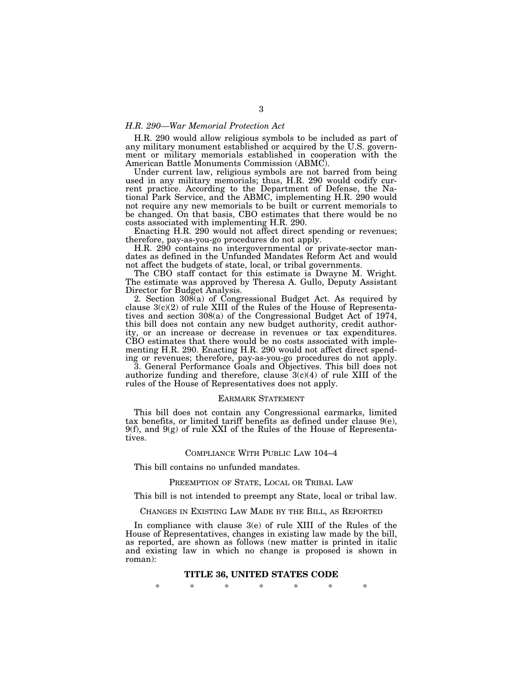## *H.R. 290—War Memorial Protection Act*

H.R. 290 would allow religious symbols to be included as part of any military monument established or acquired by the U.S. government or military memorials established in cooperation with the American Battle Monuments Commission (ABMC).

Under current law, religious symbols are not barred from being used in any military memorials; thus, H.R. 290 would codify current practice. According to the Department of Defense, the National Park Service, and the ABMC, implementing H.R. 290 would not require any new memorials to be built or current memorials to be changed. On that basis, CBO estimates that there would be no costs associated with implementing H.R. 290.

Enacting H.R. 290 would not affect direct spending or revenues; therefore, pay-as-you-go procedures do not apply.

H.R. 290 contains no intergovernmental or private-sector mandates as defined in the Unfunded Mandates Reform Act and would not affect the budgets of state, local, or tribal governments.

The CBO staff contact for this estimate is Dwayne M. Wright. The estimate was approved by Theresa A. Gullo, Deputy Assistant Director for Budget Analysis.

2. Section 308(a) of Congressional Budget Act. As required by clause  $3(c)(2)$  of rule XIII of the Rules of the House of Representatives and section 308(a) of the Congressional Budget Act of 1974, this bill does not contain any new budget authority, credit authority, or an increase or decrease in revenues or tax expenditures. CBO estimates that there would be no costs associated with implementing H.R. 290. Enacting H.R. 290 would not affect direct spending or revenues; therefore, pay-as-you-go procedures do not apply.

3. General Performance Goals and Objectives. This bill does not authorize funding and therefore, clause  $3(c)(4)$  of rule XIII of the rules of the House of Representatives does not apply.

### EARMARK STATEMENT

This bill does not contain any Congressional earmarks, limited tax benefits, or limited tariff benefits as defined under clause  $9(e)$ ,  $9(f)$ , and  $9(g)$  of rule XXI of the Rules of the House of Representatives.

### COMPLIANCE WITH PUBLIC LAW 104–4

This bill contains no unfunded mandates.

#### PREEMPTION OF STATE, LOCAL OR TRIBAL LAW

This bill is not intended to preempt any State, local or tribal law.

#### CHANGES IN EXISTING LAW MADE BY THE BILL, AS REPORTED

In compliance with clause 3(e) of rule XIII of the Rules of the House of Representatives, changes in existing law made by the bill, as reported, are shown as follows (new matter is printed in italic and existing law in which no change is proposed is shown in roman):

#### **TITLE 36, UNITED STATES CODE**

\* \* \* \* \* \* \*